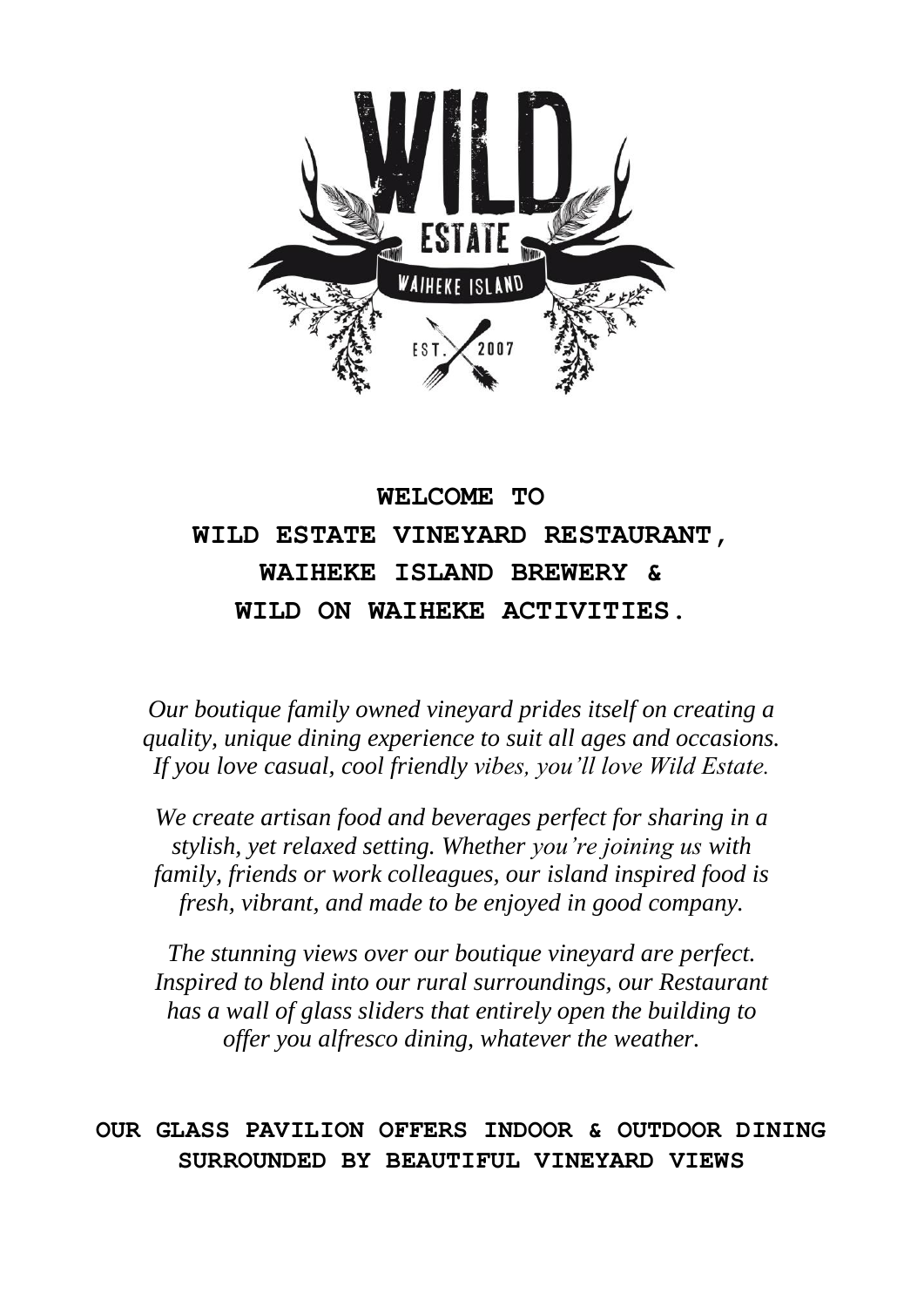

# **WELCOME TO WILD ESTATE VINEYARD RESTAURANT, WAIHEKE ISLAND BREWERY & WILD ON WAIHEKE ACTIVITIES.**

*Our boutique family owned vineyard prides itself on creating a quality, unique dining experience to suit all ages and occasions. If you love casual, cool friendly vibes, you'll love Wild Estate.*

*We create artisan food and beverages perfect for sharing in a stylish, yet relaxed setting. Whether you're joining us with family, friends or work colleagues, our island inspired food is fresh, vibrant, and made to be enjoyed in good company.* 

*The stunning views over our boutique vineyard are perfect. Inspired to blend into our rural surroundings, our Restaurant has a wall of glass sliders that entirely open the building to offer you alfresco dining, whatever the weather.*

# **OUR GLASS PAVILION OFFERS INDOOR & OUTDOOR DINING SURROUNDED BY BEAUTIFUL VINEYARD VIEWS**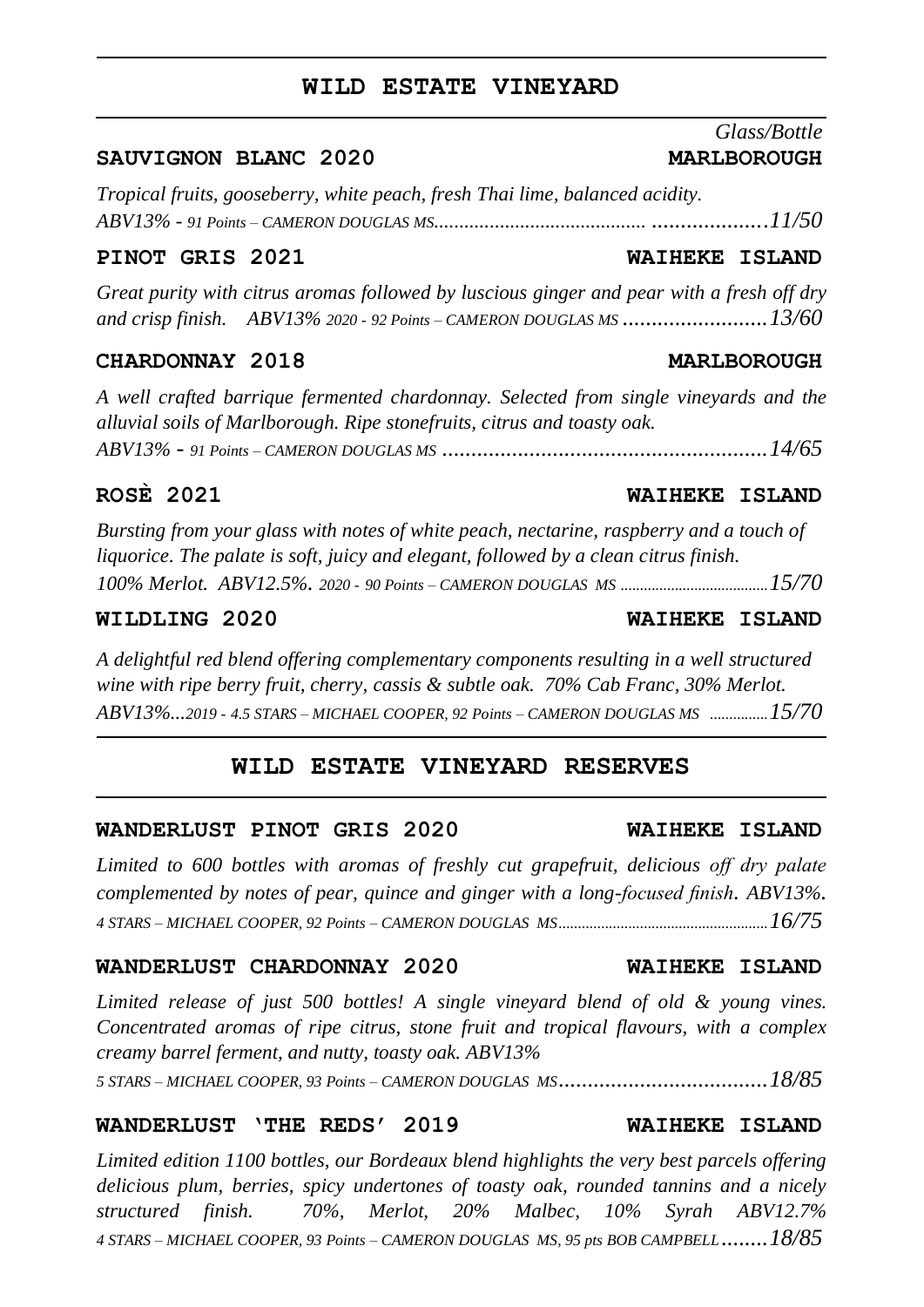#### **WILD ESTATE VINEYARD**

#### SAUVIGNON BLANC 2020 **MARLBOROUGH**

*Tropical fruits, gooseberry, white peach, fresh Thai lime, balanced acidity. ABV13% - 91 Points – CAMERON DOUGLAS MS.......................................... ....................11/50*

#### **PINOT GRIS 2021 WAIHEKE ISLAND**

*Great purity with citrus aromas followed by luscious ginger and pear with a fresh off dry and crisp finish. ABV13% 2020 - <sup>92</sup> Points – CAMERON DOUGLAS MS .........................13/60*

#### **CHARDONNAY 2018 MARLBOROUGH**

*A well crafted barrique fermented chardonnay. Selected from single vineyards and the alluvial soils of Marlborough. Ripe stonefruits, citrus and toasty oak. ABV13% - <sup>91</sup> Points – CAMERON DOUGLAS MS ........................................................14/65*

### **ROSÈ 2021 WAIHEKE ISLAND**

*Bursting from your glass with notes of white peach, nectarine, raspberry and a touch of liquorice. The palate is soft, juicy and elegant, followed by a clean citrus finish. 100% Merlot. ABV12.5%. 2020 - 90 Points – CAMERON DOUGLAS MS ......................................15/70*

*A delightful red blend offering complementary components resulting in a well structured wine with ripe berry fruit, cherry, cassis & subtle oak. 70% Cab Franc, 30% Merlot. ABV13%...2019 - 4.5 STARS – MICHAEL COOPER, 92 Points – CAMERON DOUGLAS MS ...............15/70*

### **WILD ESTATE VINEYARD RESERVES**

#### **WANDERLUST PINOT GRIS 2020 WAIHEKE ISLAND**

*Limited to 600 bottles with aromas of freshly cut grapefruit, delicious off dry palate complemented by notes of pear, quince and ginger with a long-focused finish. ABV13%. 4 STARS – MICHAEL COOPER, 92 Points – CAMERON DOUGLAS MS......................................................16/75*

#### **WANDERLUST CHARDONNAY 2020 WAIHEKE ISLAND**

*Limited release of just 500 bottles! A single vineyard blend of old & young vines. Concentrated aromas of ripe citrus, stone fruit and tropical flavours, with a complex creamy barrel ferment, and nutty, toasty oak. ABV13%*

*5 STARS – MICHAEL COOPER, 93 Points – CAMERON DOUGLAS MS....................................18/85*

### **WANDERLUST 'THE REDS' 2019 WAIHEKE ISLAND**

*Limited edition 1100 bottles, our Bordeaux blend highlights the very best parcels offering delicious plum, berries, spicy undertones of toasty oak, rounded tannins and a nicely structured finish. 70%, Merlot, 20% Malbec, 10% Syrah ABV12.7% <sup>4</sup> STARS – MICHAEL COOPER, 93 Points – CAMERON DOUGLAS MS, 95 pts BOB CAMPBELL........18/85*

*Glass/Bottle*

### **WILDLING 2020 WAIHEKE ISLAND**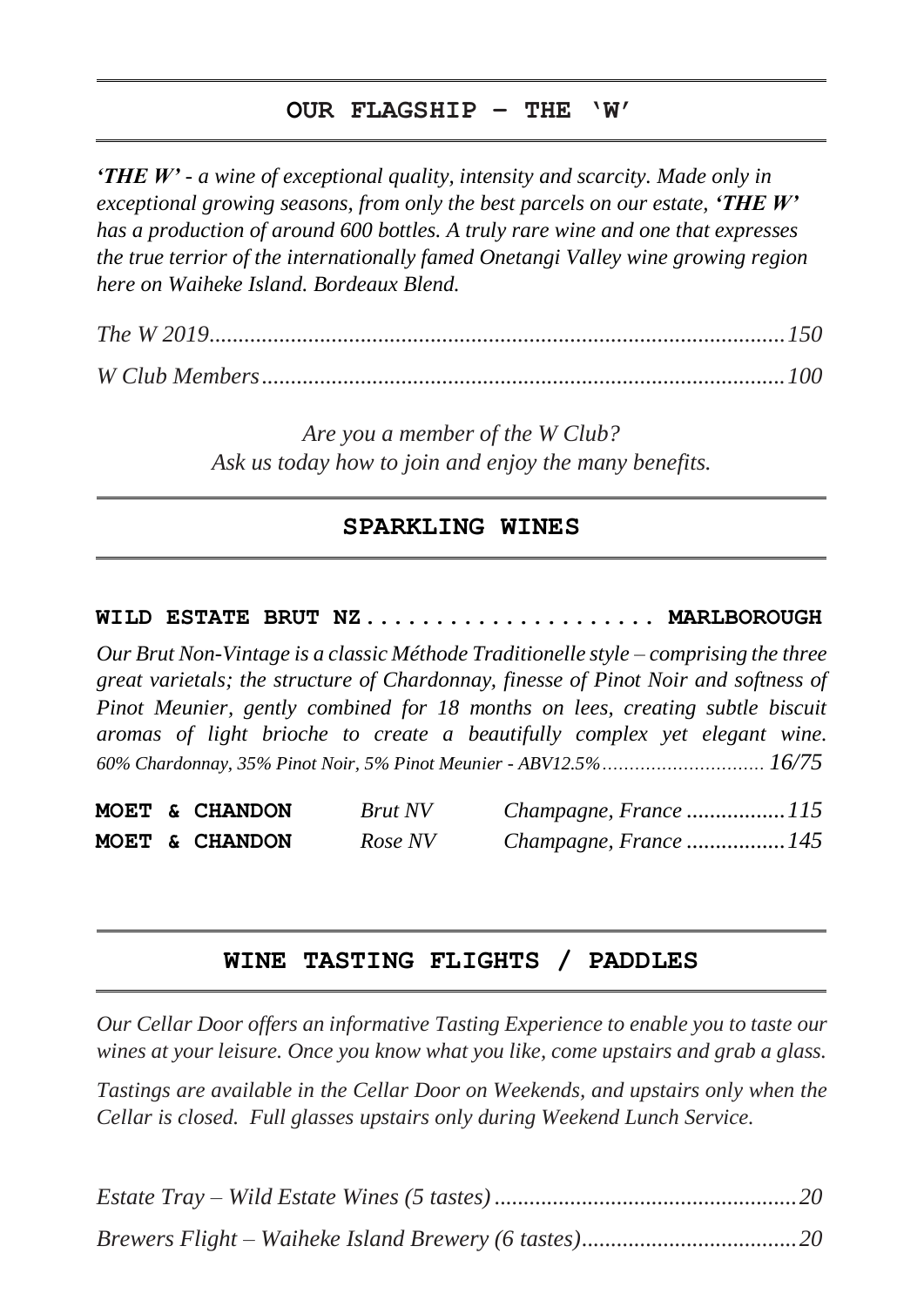# **OUR FLAGSHIP – THE 'W'**

*'THE W' - a wine of exceptional quality, intensity and scarcity. Made only in exceptional growing seasons, from only the best parcels on our estate, 'THE W' has a production of around 600 bottles. A truly rare wine and one that expresses the true terrior of the internationally famed Onetangi Valley wine growing region here on Waiheke Island. Bordeaux Blend.* 

*The W 2019...................................................................................................150*

*W Club Members..........................................................................................100*

*Are you a member of the W Club? Ask us today how to join and enjoy the many benefits.*

### **SPARKLING WINES**

### **WILD ESTATE BRUT NZ**..................... **MARLBOROUGH**

*Our Brut Non-Vintage is a classic Méthode Traditionelle style – comprising the three great varietals; the structure of Chardonnay, finesse of Pinot Noir and softness of Pinot Meunier, gently combined for 18 months on lees, creating subtle biscuit aromas of light brioche to create a beautifully complex yet elegant wine. 60% Chardonnay, 35% Pinot Noir, 5% Pinot Meunier - ABV12.5%.............................. 16/75*

**MOET & CHANDON** *Brut NV Champagne, France .................115* **MOET & CHANDON** *Rose NV Champagne, France .................145*

### **WINE TASTING FLIGHTS / PADDLES**

*Our Cellar Door offers an informative Tasting Experience to enable you to taste our wines at your leisure. Once you know what you like, come upstairs and grab a glass.*

*Tastings are available in the Cellar Door on Weekends, and upstairs only when the Cellar is closed. Full glasses upstairs only during Weekend Lunch Service.*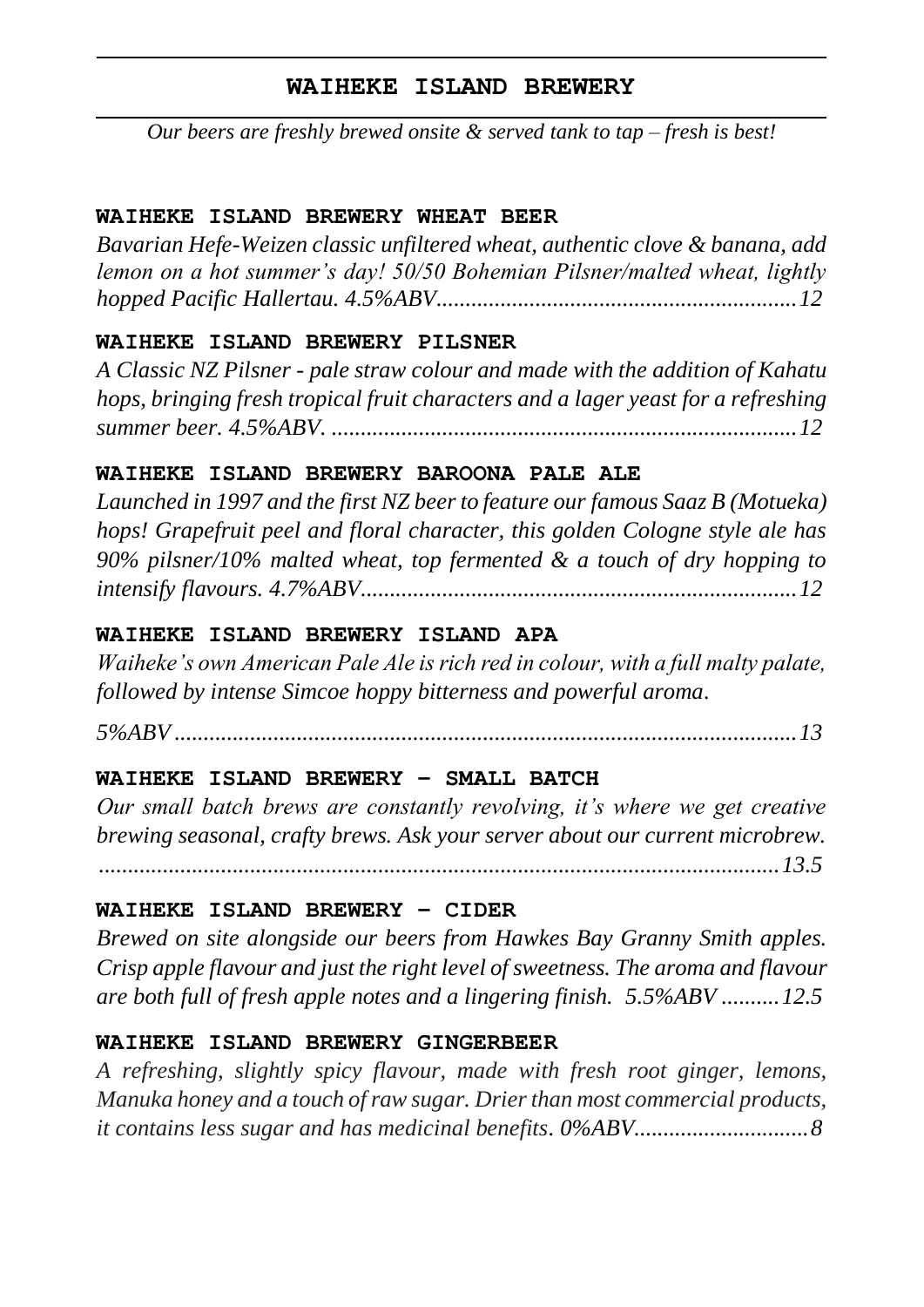# **WAIHEKE ISLAND BREWERY**

*Our beers are freshly brewed onsite & served tank to tap – fresh is best!*

# **WAIHEKE ISLAND BREWERY WHEAT BEER**

*Bavarian Hefe-Weizen classic unfiltered wheat, authentic clove & banana, add lemon on a hot summer's day! 50/50 Bohemian Pilsner/malted wheat, lightly hopped Pacific Hallertau. 4.5%ABV..............................................................12*

# **WAIHEKE ISLAND BREWERY PILSNER**

*A Classic NZ Pilsner - pale straw colour and made with the addition of Kahatu hops, bringing fresh tropical fruit characters and a lager yeast for a refreshing summer beer. 4.5%ABV. ................................................................................12*

# **WAIHEKE ISLAND BREWERY BAROONA PALE ALE**

*Launched in 1997 and the first NZ beer to feature our famous Saaz B (Motueka) hops! Grapefruit peel and floral character, this golden Cologne style ale has 90% pilsner/10% malted wheat, top fermented & a touch of dry hopping to intensify flavours. 4.7%ABV...........................................................................12*

# **WAIHEKE ISLAND BREWERY ISLAND APA**

*Waiheke's own American Pale Ale is rich red in colour, with a full malty palate, followed by intense Simcoe hoppy bitterness and powerful aroma.* 

*5%ABV ...........................................................................................................13*

# **WAIHEKE ISLAND BREWERY – SMALL BATCH**

*Our small batch brews are constantly revolving, it's where we get creative brewing seasonal, crafty brews. Ask your server about our current microbrew. .....................................................................................................................13.5*

# **WAIHEKE ISLAND BREWERY – CIDER**

*Brewed on site alongside our beers from Hawkes Bay Granny Smith apples. Crisp apple flavour and just the right level of sweetness. The aroma and flavour are both full of fresh apple notes and a lingering finish. 5.5%ABV ..........12.5*

# **WAIHEKE ISLAND BREWERY GINGERBEER**

*A refreshing, slightly spicy flavour, made with fresh root ginger, lemons, Manuka honey and a touch of raw sugar. Drier than most commercial products, it contains less sugar and has medicinal benefits. 0%ABV..............................8*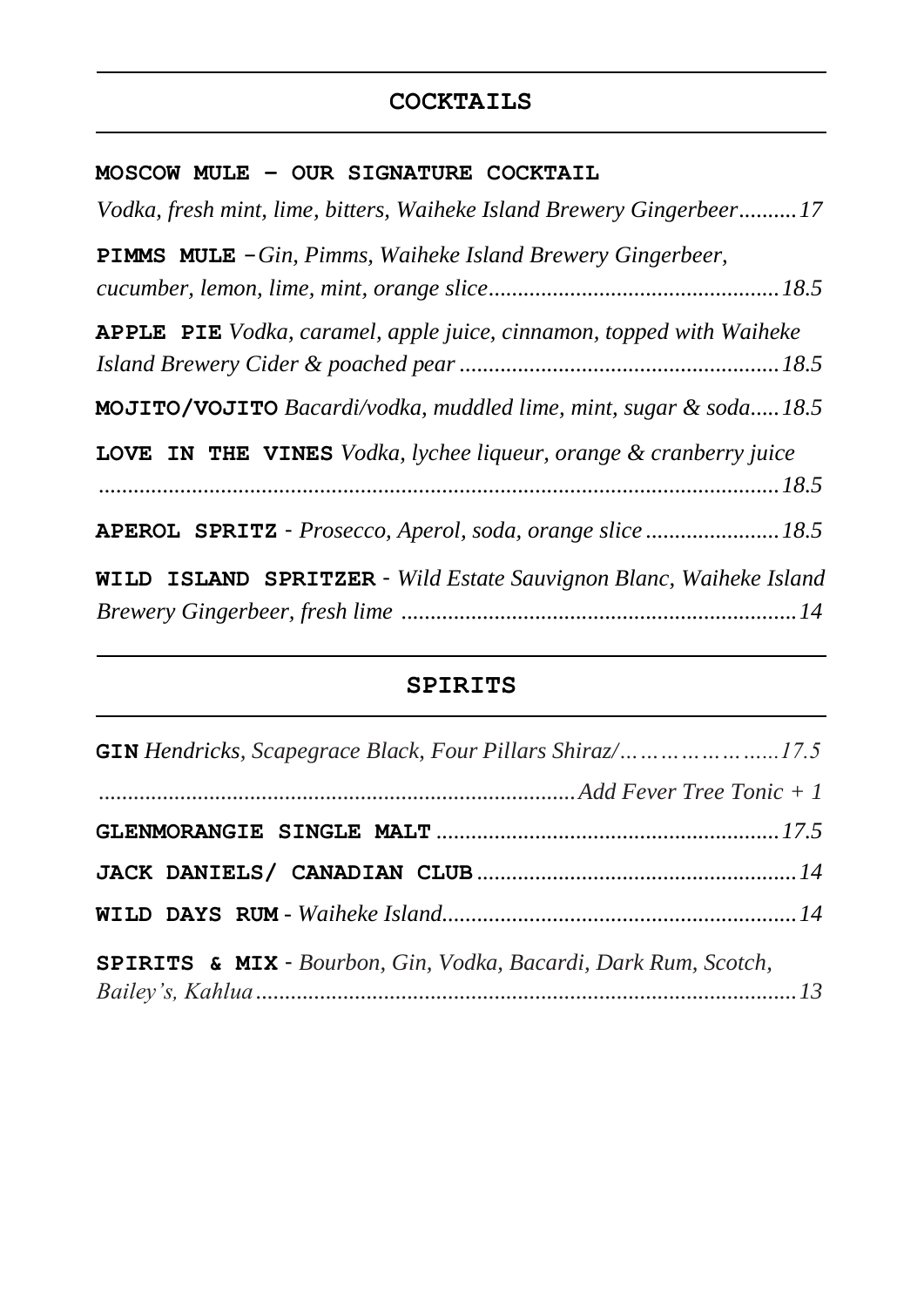# **COCKTAILS**

## **MOSCOW MULE – OUR SIGNATURE COCKTAIL**

# **SPIRITS**

| <b>SPIRITS &amp; MIX</b> - Bourbon, Gin, Vodka, Bacardi, Dark Rum, Scotch, |  |
|----------------------------------------------------------------------------|--|
|                                                                            |  |